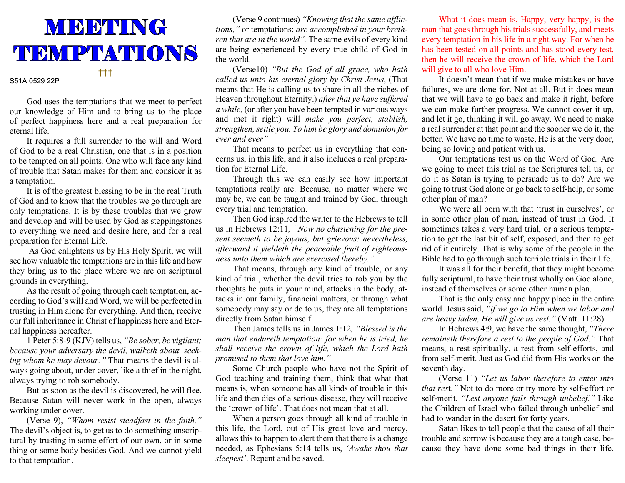

## S51A 0529 22P

 God uses the temptations that we meet to perfect our knowledge of Him and to bring us to the place of perfect happiness here and a real preparation for eternal life.

 It requires a full surrender to the will and Word of God to be a real Christian, one that is in a position to be tempted on all points. One who will face any kind of trouble that Satan makes for them and consider it as a temptation.

 It is of the greatest blessing to be in the real Truth of God and to know that the troubles we go through are only temptations. It is by these troubles that we grow and develop and will be used by God as steppingstones to everything we need and desire here, and for a real preparation for Eternal Life.

 As God enlightens us by His Holy Spirit, we will see how valuable the temptations are in this life and how they bring us to the place where we are on scriptural grounds in everything.

 As the result of going through each temptation, according to God's will and Word, we will be perfected in trusting in Him alone for everything. And then, receive our full inheritance in Christ of happiness here and Eternal happiness hereafter.

 1 Peter 5:8-9 (KJV) tells us, "Be sober, be vigilant; because your adversary the devil, walketh about, seeking whom he may devour:" That means the devil is always going about, under cover, like a thief in the night, always trying to rob somebody.

 But as soon as the devil is discovered, he will flee. Because Satan will never work in the open, always working under cover.

 (Verse 9), "Whom resist steadfast in the faith," The devil's object is, to get us to do something unscriptural by trusting in some effort of our own, or in some thing or some body besides God. And we cannot yield to that temptation.

 (Verse 9 continues) "Knowing that the same afflictions," or temptations; are accomplished in your brethren that are in the world". The same evils of every kind are being experienced by every true child of God in the world.

 (Verse10) "But the God of all grace, who hath called us unto his eternal glory by Christ Jesus, (That means that He is calling us to share in all the riches of Heaven throughout Eternity.) after that ye have suffered a while, (or after you have been tempted in various ways and met it right) will make you perfect, stablish, strengthen, settle you. To him be glory and dominion for ever and ever"

 That means to perfect us in everything that concerns us, in this life, and it also includes a real preparation for Eternal Life.

 Through this we can easily see how important temptations really are. Because, no matter where we may be, we can be taught and trained by God, through every trial and temptation.

 Then God inspired the writer to the Hebrews to tell us in Hebrews 12:11, "Now no chastening for the present seemeth to be joyous, but grievous: nevertheless, afterward it yieldeth the peaceable fruit of righteousness unto them which are exercised thereby."

 That means, through any kind of trouble, or any kind of trial, whether the devil tries to rob you by the thoughts he puts in your mind, attacks in the body, attacks in our family, financial matters, or through what somebody may say or do to us, they are all temptations directly from Satan himself.

 Then James tells us in James 1:12, "Blessed is the man that endureth temptation: for when he is tried, he shall receive the crown of life, which the Lord hath promised to them that love him."

 Some Church people who have not the Spirit of God teaching and training them, think that what that means is, when someone has all kinds of trouble in this life and then dies of a serious disease, they will receive the 'crown of life'. That does not mean that at all.

 When a person goes through all kind of trouble in this life, the Lord, out of His great love and mercy, allows this to happen to alert them that there is a change needed, as Ephesians 5:14 tells us, 'Awake thou that sleepest'. Repent and be saved.

What it does mean is, Happy, very happy, is the man that goes through his trials successfully, and meets every temptation in his life in a right way. For when he has been tested on all points and has stood every test, then he will receive the crown of life, which the Lord will give to all who love Him.

 It doesn't mean that if we make mistakes or have failures, we are done for. Not at all. But it does mean that we will have to go back and make it right, before we can make further progress. We cannot cover it up, and let it go, thinking it will go away. We need to make a real surrender at that point and the sooner we do it, the better. We have no time to waste, He is at the very door, being so loving and patient with us.

 Our temptations test us on the Word of God. Are we going to meet this trial as the Scriptures tell us, or do it as Satan is trying to persuade us to do? Are we going to trust God alone or go back to self-help, or some other plan of man?

 We were all born with that 'trust in ourselves', or in some other plan of man, instead of trust in God. It sometimes takes a very hard trial, or a serious temptation to get the last bit of self, exposed, and then to get rid of it entirely. That is why some of the people in the Bible had to go through such terrible trials in their life.

 It was all for their benefit, that they might become fully scriptural, to have their trust wholly on God alone, instead of themselves or some other human plan.

 That is the only easy and happy place in the entire world. Jesus said, "if we go to Him when we labor and are heavy laden, He will give us rest." (Matt. 11:28)

 In Hebrews 4:9, we have the same thought, "There remaineth therefore a rest to the people of God." That means, a rest spiritually, a rest from self-efforts, and from self-merit. Just as God did from His works on the seventh day.

 (Verse 11) "Let us labor therefore to enter into that rest." Not to do more or try more by self-effort or self-merit. "Lest anyone fails through unbelief." Like the Children of Israel who failed through unbelief and had to wander in the desert for forty years.

 Satan likes to tell people that the cause of all their trouble and sorrow is because they are a tough case, because they have done some bad things in their life.